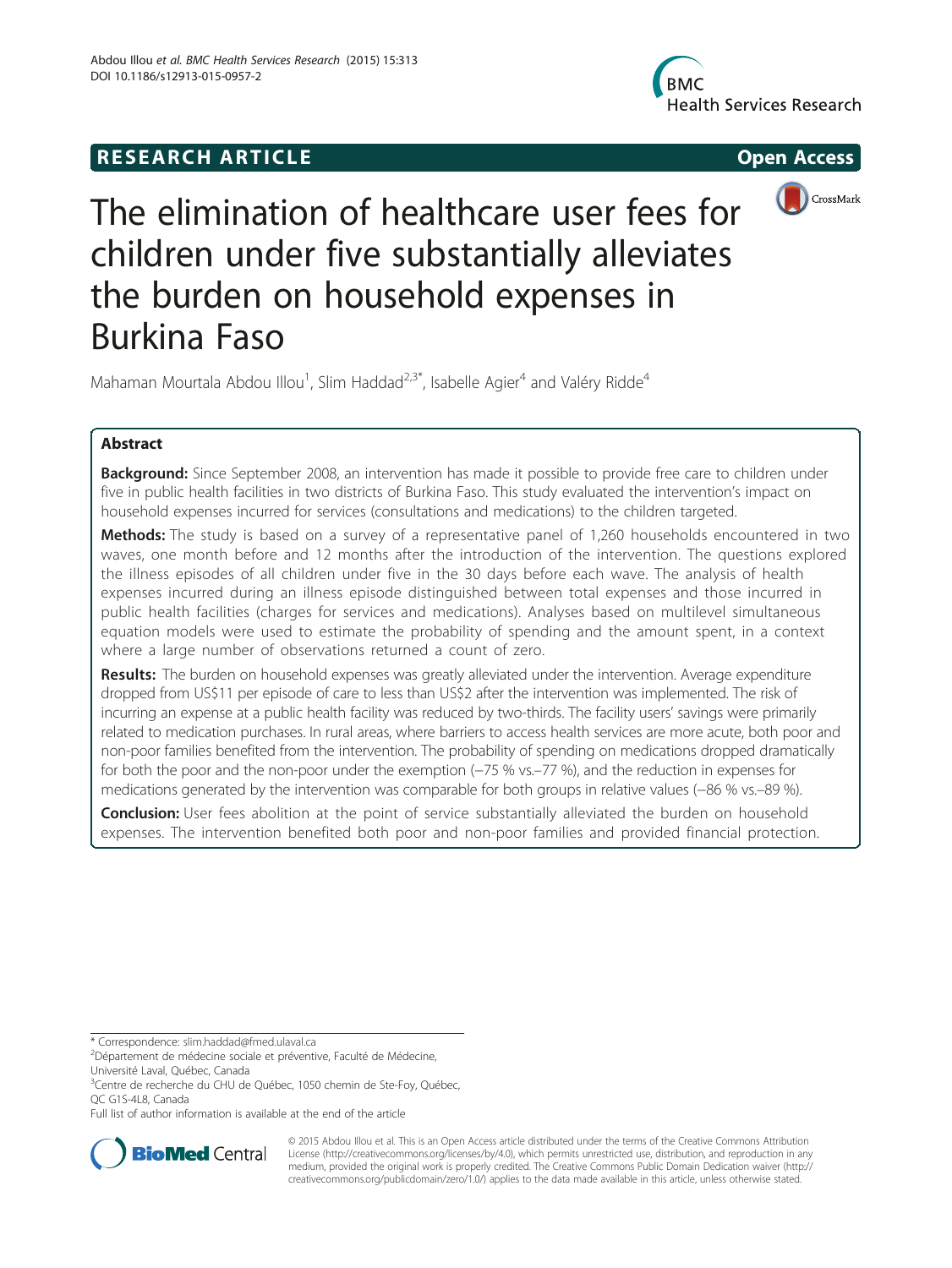## **RESEARCH ARTICLE Example 2014 CONSIDERING CONSIDERING CONSIDERING CONSIDERING CONSIDERING CONSIDERING CONSIDERING CONSIDERING CONSIDERING CONSIDERING CONSIDERING CONSIDERING CONSIDERING CONSIDERING CONSIDERING CONSIDE**







# The elimination of healthcare user fees for children under five substantially alleviates the burden on household expenses in Burkina Faso

Mahaman Mourtala Abdou Illou<sup>1</sup>, Slim Haddad<sup>2,3\*</sup>, Isabelle Agier<sup>4</sup> and Valéry Ridde<sup>4</sup>

## Abstract

**Background:** Since September 2008, an intervention has made it possible to provide free care to children under five in public health facilities in two districts of Burkina Faso. This study evaluated the intervention's impact on household expenses incurred for services (consultations and medications) to the children targeted.

**Methods:** The study is based on a survey of a representative panel of 1,260 households encountered in two waves, one month before and 12 months after the introduction of the intervention. The questions explored the illness episodes of all children under five in the 30 days before each wave. The analysis of health expenses incurred during an illness episode distinguished between total expenses and those incurred in public health facilities (charges for services and medications). Analyses based on multilevel simultaneous equation models were used to estimate the probability of spending and the amount spent, in a context where a large number of observations returned a count of zero.

Results: The burden on household expenses was greatly alleviated under the intervention. Average expenditure dropped from US\$11 per episode of care to less than US\$2 after the intervention was implemented. The risk of incurring an expense at a public health facility was reduced by two-thirds. The facility users' savings were primarily related to medication purchases. In rural areas, where barriers to access health services are more acute, both poor and non-poor families benefited from the intervention. The probability of spending on medications dropped dramatically for both the poor and the non-poor under the exemption (−75 % vs.–77 %), and the reduction in expenses for medications generated by the intervention was comparable for both groups in relative values (−86 % vs.–89 %).

**Conclusion:** User fees abolition at the point of service substantially alleviated the burden on household expenses. The intervention benefited both poor and non-poor families and provided financial protection.

\* Correspondence: [slim.haddad@fmed.ulaval.ca](mailto:slim.haddad@fmed.ulaval.ca) <sup>2</sup>

<sup>2</sup>Département de médecine sociale et préventive, Faculté de Médecine, Université Laval, Québec, Canada

<sup>3</sup>Centre de recherche du CHU de Québec, 1050 chemin de Ste-Foy, Québec, QC G1S-4L8, Canada

Full list of author information is available at the end of the article



© 2015 Abdou Illou et al. This is an Open Access article distributed under the terms of the Creative Commons Attribution License (<http://creativecommons.org/licenses/by/4.0>), which permits unrestricted use, distribution, and reproduction in any medium, provided the original work is properly credited. The Creative Commons Public Domain Dedication waiver [\(http://](http://creativecommons.org/publicdomain/zero/1.0/) [creativecommons.org/publicdomain/zero/1.0/\)](http://creativecommons.org/publicdomain/zero/1.0/) applies to the data made available in this article, unless otherwise stated.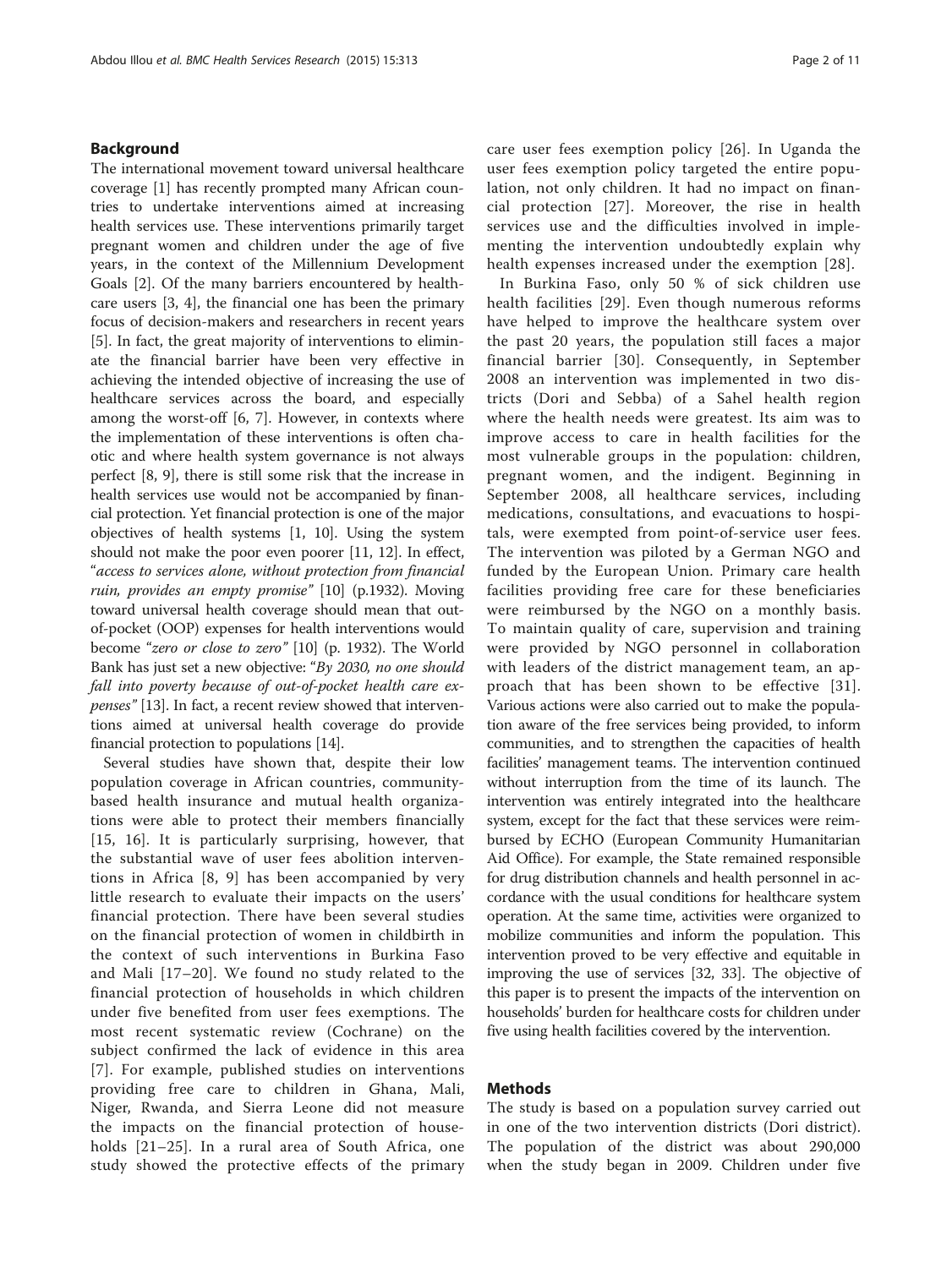## Background

The international movement toward universal healthcare coverage [[1\]](#page-9-0) has recently prompted many African countries to undertake interventions aimed at increasing health services use. These interventions primarily target pregnant women and children under the age of five years, in the context of the Millennium Development Goals [[2\]](#page-9-0). Of the many barriers encountered by healthcare users [[3, 4](#page-9-0)], the financial one has been the primary focus of decision-makers and researchers in recent years [[5\]](#page-9-0). In fact, the great majority of interventions to eliminate the financial barrier have been very effective in achieving the intended objective of increasing the use of healthcare services across the board, and especially among the worst-off [[6, 7\]](#page-9-0). However, in contexts where the implementation of these interventions is often chaotic and where health system governance is not always perfect [\[8](#page-9-0), [9\]](#page-9-0), there is still some risk that the increase in health services use would not be accompanied by financial protection. Yet financial protection is one of the major objectives of health systems [\[1](#page-9-0), [10](#page-9-0)]. Using the system should not make the poor even poorer [[11](#page-9-0), [12](#page-9-0)]. In effect, "access to services alone, without protection from financial ruin, provides an empty promise" [\[10\]](#page-9-0) (p.1932). Moving toward universal health coverage should mean that outof-pocket (OOP) expenses for health interventions would become "zero or close to zero" [\[10\]](#page-9-0) (p. 1932). The World Bank has just set a new objective: "By 2030, no one should fall into poverty because of out-of-pocket health care expenses" [\[13\]](#page-9-0). In fact, a recent review showed that interventions aimed at universal health coverage do provide financial protection to populations [[14](#page-9-0)].

Several studies have shown that, despite their low population coverage in African countries, communitybased health insurance and mutual health organizations were able to protect their members financially [[15](#page-9-0), [16](#page-9-0)]. It is particularly surprising, however, that the substantial wave of user fees abolition interventions in Africa [\[8](#page-9-0), [9](#page-9-0)] has been accompanied by very little research to evaluate their impacts on the users' financial protection. There have been several studies on the financial protection of women in childbirth in the context of such interventions in Burkina Faso and Mali [[17](#page-9-0)–[20](#page-9-0)]. We found no study related to the financial protection of households in which children under five benefited from user fees exemptions. The most recent systematic review (Cochrane) on the subject confirmed the lack of evidence in this area [[7](#page-9-0)]. For example, published studies on interventions providing free care to children in Ghana, Mali, Niger, Rwanda, and Sierra Leone did not measure the impacts on the financial protection of households [[21](#page-9-0)–[25\]](#page-9-0). In a rural area of South Africa, one study showed the protective effects of the primary care user fees exemption policy [[26](#page-9-0)]. In Uganda the user fees exemption policy targeted the entire population, not only children. It had no impact on financial protection [[27](#page-9-0)]. Moreover, the rise in health services use and the difficulties involved in implementing the intervention undoubtedly explain why health expenses increased under the exemption [[28](#page-9-0)].

In Burkina Faso, only 50 % of sick children use health facilities [[29\]](#page-9-0). Even though numerous reforms have helped to improve the healthcare system over the past 20 years, the population still faces a major financial barrier [\[30\]](#page-9-0). Consequently, in September 2008 an intervention was implemented in two districts (Dori and Sebba) of a Sahel health region where the health needs were greatest. Its aim was to improve access to care in health facilities for the most vulnerable groups in the population: children, pregnant women, and the indigent. Beginning in September 2008, all healthcare services, including medications, consultations, and evacuations to hospitals, were exempted from point-of-service user fees. The intervention was piloted by a German NGO and funded by the European Union. Primary care health facilities providing free care for these beneficiaries were reimbursed by the NGO on a monthly basis. To maintain quality of care, supervision and training were provided by NGO personnel in collaboration with leaders of the district management team, an approach that has been shown to be effective [[31](#page-9-0)]. Various actions were also carried out to make the population aware of the free services being provided, to inform communities, and to strengthen the capacities of health facilities' management teams. The intervention continued without interruption from the time of its launch. The intervention was entirely integrated into the healthcare system, except for the fact that these services were reimbursed by ECHO (European Community Humanitarian Aid Office). For example, the State remained responsible for drug distribution channels and health personnel in accordance with the usual conditions for healthcare system operation. At the same time, activities were organized to mobilize communities and inform the population. This intervention proved to be very effective and equitable in improving the use of services [\[32](#page-9-0), [33](#page-9-0)]. The objective of this paper is to present the impacts of the intervention on households' burden for healthcare costs for children under five using health facilities covered by the intervention.

## Methods

The study is based on a population survey carried out in one of the two intervention districts (Dori district). The population of the district was about 290,000 when the study began in 2009. Children under five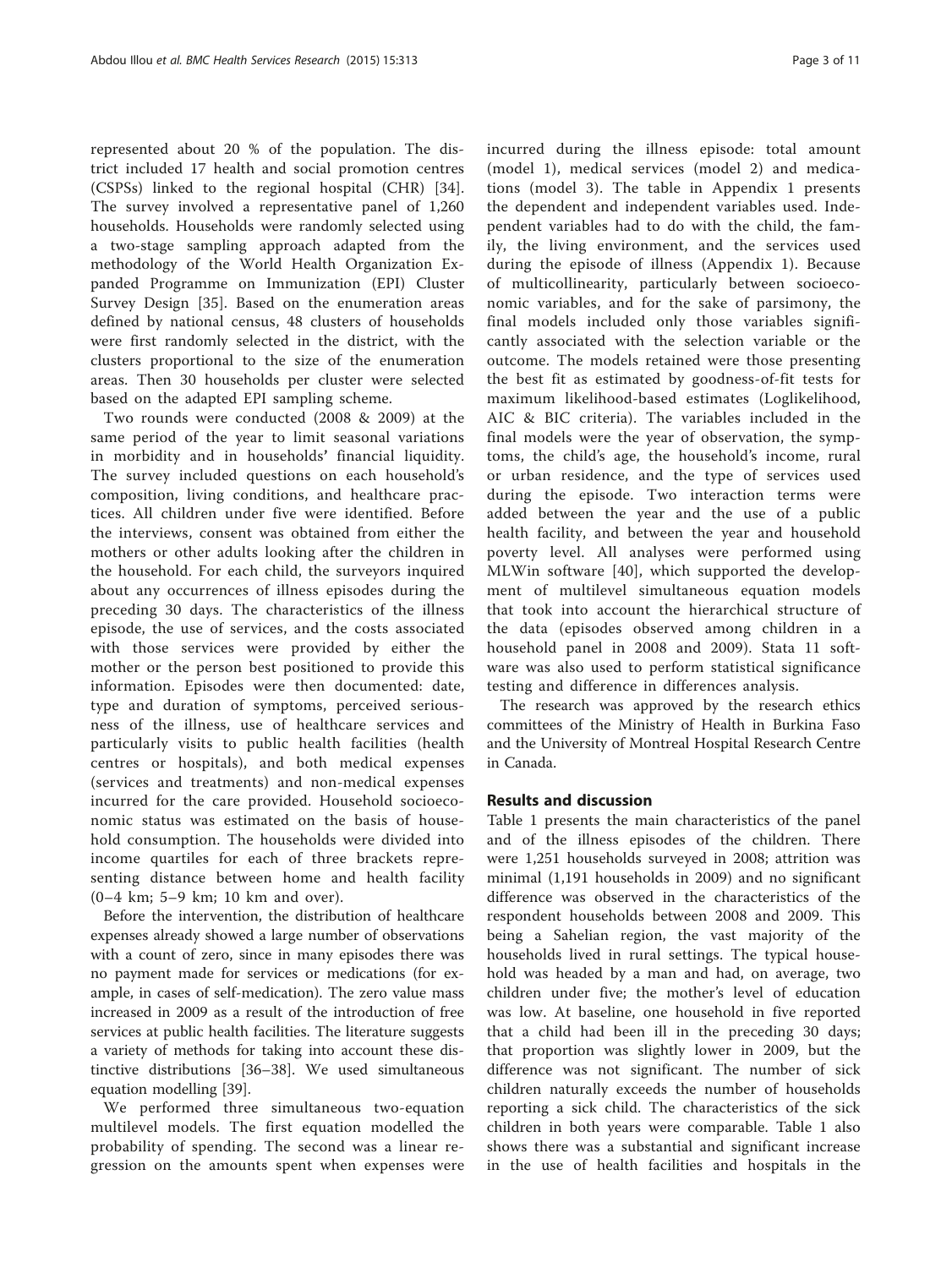represented about 20 % of the population. The district included 17 health and social promotion centres (CSPSs) linked to the regional hospital (CHR) [\[34](#page-9-0)]. The survey involved a representative panel of 1,260 households. Households were randomly selected using a two-stage sampling approach adapted from the methodology of the World Health Organization Expanded Programme on Immunization (EPI) Cluster Survey Design [[35\]](#page-9-0). Based on the enumeration areas defined by national census, 48 clusters of households were first randomly selected in the district, with the clusters proportional to the size of the enumeration areas. Then 30 households per cluster were selected based on the adapted EPI sampling scheme.

Two rounds were conducted (2008 & 2009) at the same period of the year to limit seasonal variations in morbidity and in households' financial liquidity. The survey included questions on each household's composition, living conditions, and healthcare practices. All children under five were identified. Before the interviews, consent was obtained from either the mothers or other adults looking after the children in the household. For each child, the surveyors inquired about any occurrences of illness episodes during the preceding 30 days. The characteristics of the illness episode, the use of services, and the costs associated with those services were provided by either the mother or the person best positioned to provide this information. Episodes were then documented: date, type and duration of symptoms, perceived seriousness of the illness, use of healthcare services and particularly visits to public health facilities (health centres or hospitals), and both medical expenses (services and treatments) and non-medical expenses incurred for the care provided. Household socioeconomic status was estimated on the basis of household consumption. The households were divided into income quartiles for each of three brackets representing distance between home and health facility (0–4 km; 5–9 km; 10 km and over).

Before the intervention, the distribution of healthcare expenses already showed a large number of observations with a count of zero, since in many episodes there was no payment made for services or medications (for example, in cases of self-medication). The zero value mass increased in 2009 as a result of the introduction of free services at public health facilities. The literature suggests a variety of methods for taking into account these distinctive distributions [[36](#page-9-0)–[38](#page-9-0)]. We used simultaneous equation modelling [\[39\]](#page-9-0).

We performed three simultaneous two-equation multilevel models. The first equation modelled the probability of spending. The second was a linear regression on the amounts spent when expenses were

incurred during the illness episode: total amount (model 1), medical services (model 2) and medications (model 3). The table in [Appendix 1](#page-8-0) presents the dependent and independent variables used. Independent variables had to do with the child, the family, the living environment, and the services used during the episode of illness [\(Appendix 1\)](#page-8-0). Because of multicollinearity, particularly between socioeconomic variables, and for the sake of parsimony, the final models included only those variables significantly associated with the selection variable or the outcome. The models retained were those presenting the best fit as estimated by goodness-of-fit tests for maximum likelihood-based estimates (Loglikelihood, AIC & BIC criteria). The variables included in the final models were the year of observation, the symptoms, the child's age, the household's income, rural or urban residence, and the type of services used during the episode. Two interaction terms were added between the year and the use of a public health facility, and between the year and household poverty level. All analyses were performed using MLWin software [\[40\]](#page-9-0), which supported the development of multilevel simultaneous equation models that took into account the hierarchical structure of the data (episodes observed among children in a household panel in 2008 and 2009). Stata 11 software was also used to perform statistical significance testing and difference in differences analysis.

The research was approved by the research ethics committees of the Ministry of Health in Burkina Faso and the University of Montreal Hospital Research Centre in Canada.

## Results and discussion

Table [1](#page-3-0) presents the main characteristics of the panel and of the illness episodes of the children. There were 1,251 households surveyed in 2008; attrition was minimal (1,191 households in 2009) and no significant difference was observed in the characteristics of the respondent households between 2008 and 2009. This being a Sahelian region, the vast majority of the households lived in rural settings. The typical household was headed by a man and had, on average, two children under five; the mother's level of education was low. At baseline, one household in five reported that a child had been ill in the preceding 30 days; that proportion was slightly lower in 2009, but the difference was not significant. The number of sick children naturally exceeds the number of households reporting a sick child. The characteristics of the sick children in both years were comparable. Table [1](#page-3-0) also shows there was a substantial and significant increase in the use of health facilities and hospitals in the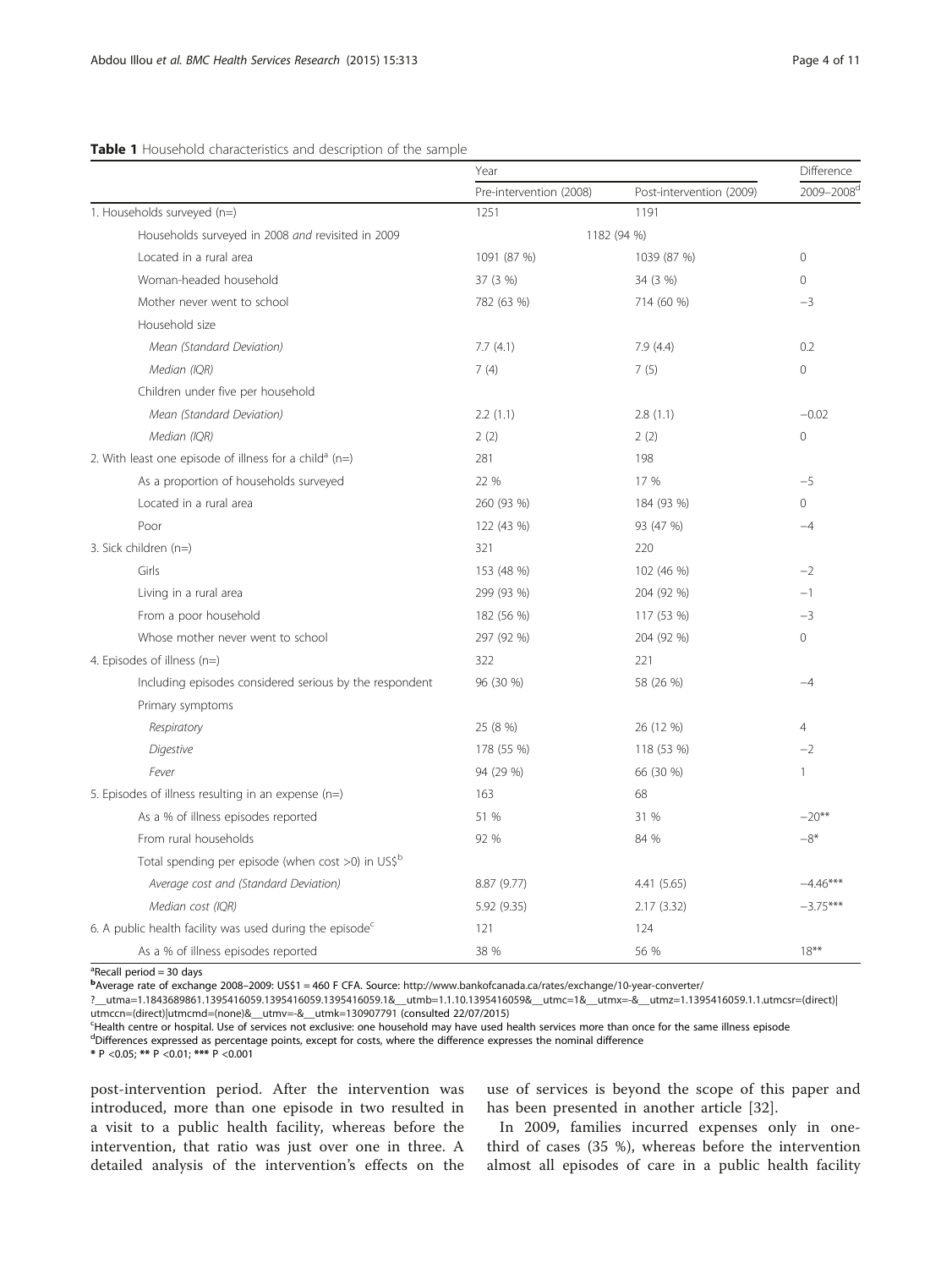### <span id="page-3-0"></span>Table 1 Household characteristics and description of the sample

|                                                                      | Year                    |                          | Difference             |  |
|----------------------------------------------------------------------|-------------------------|--------------------------|------------------------|--|
|                                                                      | Pre-intervention (2008) | Post-intervention (2009) | 2009-2008 <sup>d</sup> |  |
| 1. Households surveyed (n=)                                          | 1251                    | 1191                     |                        |  |
| Households surveyed in 2008 and revisited in 2009                    |                         | 1182 (94 %)              |                        |  |
| Located in a rural area                                              | 1091 (87 %)             | 1039 (87 %)              | 0                      |  |
| Woman-headed household                                               | 37 (3 %)                | 34 (3 %)                 | $\overline{0}$         |  |
| Mother never went to school                                          | 782 (63 %)              | 714 (60 %)               | $-3$                   |  |
| Household size                                                       |                         |                          |                        |  |
| Mean (Standard Deviation)                                            | 7.7(4.1)                | 7.9(4.4)                 | 0.2                    |  |
| Median (IQR)                                                         | 7(4)                    | 7(5)                     | $\overline{0}$         |  |
| Children under five per household                                    |                         |                          |                        |  |
| Mean (Standard Deviation)                                            | 2.2(1.1)                | 2.8(1.1)                 | $-0.02$                |  |
| Median (IQR)                                                         | 2(2)                    | 2(2)                     | $\overline{0}$         |  |
| 2. With least one episode of illness for a child <sup>a</sup> (n=)   | 281                     | 198                      |                        |  |
| As a proportion of households surveyed                               | 22 %                    | 17 %                     | $-5$                   |  |
| Located in a rural area                                              | 260 (93 %)              | 184 (93 %)               | $\overline{0}$         |  |
| Poor                                                                 | 122 (43 %)              | 93 (47 %)                | $-4$                   |  |
| 3. Sick children (n=)                                                | 321                     | 220                      |                        |  |
| Girls                                                                | 153 (48 %)              | 102 (46 %)               | $-2$                   |  |
| Living in a rural area                                               | 299 (93 %)              | 204 (92 %)               | $-1$                   |  |
| From a poor household                                                | 182 (56 %)              | 117 (53 %)               | $-3$                   |  |
| Whose mother never went to school                                    | 297 (92 %)              | 204 (92 %)               | $\overline{0}$         |  |
| 4. Episodes of illness (n=)                                          | 322                     | 221                      |                        |  |
| Including episodes considered serious by the respondent              | 96 (30 %)               | 58 (26 %)                | $-4$                   |  |
| Primary symptoms                                                     |                         |                          |                        |  |
| Respiratory                                                          | 25 (8 %)                | 26 (12 %)                | $\overline{4}$         |  |
| Digestive                                                            | 178 (55 %)              | 118 (53 %)               | $-2$                   |  |
| Fever                                                                | 94 (29 %)               | 66 (30 %)                | $\mathbf{1}$           |  |
| 5. Episodes of illness resulting in an expense $(n=)$                | 163                     | 68                       |                        |  |
| As a % of illness episodes reported                                  | 51 %                    | 31 %                     | $-20**$                |  |
| From rural households                                                | 92 %                    | 84 %                     | $-8*$                  |  |
| Total spending per episode (when cost $>0$ ) in US\$ <sup>b</sup>    |                         |                          |                        |  |
| Average cost and (Standard Deviation)                                | 8.87 (9.77)             | 4.41(5.65)               | $-4.46***$             |  |
| Median cost (IOR)                                                    | 5.92 (9.35)             | 2.17(3.32)               | $-3.75***$             |  |
| 6. A public health facility was used during the episode <sup>c</sup> | 121                     | 124                      |                        |  |
| As a % of illness episodes reported                                  | 38 %                    | 56 %                     | $18***$                |  |

<sup>a</sup>Recall period = 30 days

b Average rate of exchange 2008–2009: US\$1 = 460 F CFA. Source: [http://www.bankofcanada.ca/rates/exchange/10-year-converter/](http://www.bankofcanada.ca/rates/exchange/10-year-converter/?__utma=1.1843689861.1395416059.1395416059.1395416059.1&__utmb=1.1.10.1395416059&__utmc=1&__utmx=-&__utmz=1.1395416059.1.1.utmcsr=(direct)|utmccn=(direct)|utmcmd=(none)&__utmv=-&__utmk=130907791)

[?\\_\\_utma=1.1843689861.1395416059.1395416059.1395416059.1&\\_\\_utmb=1.1.10.1395416059&\\_\\_utmc=1&\\_\\_utmx=-&\\_\\_utmz=1.1395416059.1.1.utmcsr=\(direct\)|](http://www.bankofcanada.ca/rates/exchange/10-year-converter/?__utma=1.1843689861.1395416059.1395416059.1395416059.1&__utmb=1.1.10.1395416059&__utmc=1&__utmx=-&__utmz=1.1395416059.1.1.utmcsr=(direct)|utmccn=(direct)|utmcmd=(none)&__utmv=-&__utmk=130907791) [utmccn=\(direct\)|utmcmd=\(none\)&\\_\\_utmv=-&\\_\\_utmk=130907791](http://www.bankofcanada.ca/rates/exchange/10-year-converter/?__utma=1.1843689861.1395416059.1395416059.1395416059.1&__utmb=1.1.10.1395416059&__utmc=1&__utmx=-&__utmz=1.1395416059.1.1.utmcsr=(direct)|utmccn=(direct)|utmcmd=(none)&__utmv=-&__utmk=130907791) (consulted 22/07/2015)

Health centre or hospital. Use of services not exclusive: one household may have used health services more than once for the same illness episode

dDifferences expressed as percentage points, except for costs, where the difference expresses the nominal difference

\* P <0.05; \*\* P <0.01; \*\*\* P <0.001

post-intervention period. After the intervention was introduced, more than one episode in two resulted in a visit to a public health facility, whereas before the intervention, that ratio was just over one in three. A detailed analysis of the intervention's effects on the

use of services is beyond the scope of this paper and has been presented in another article [[32\]](#page-9-0).

In 2009, families incurred expenses only in onethird of cases (35 %), whereas before the intervention almost all episodes of care in a public health facility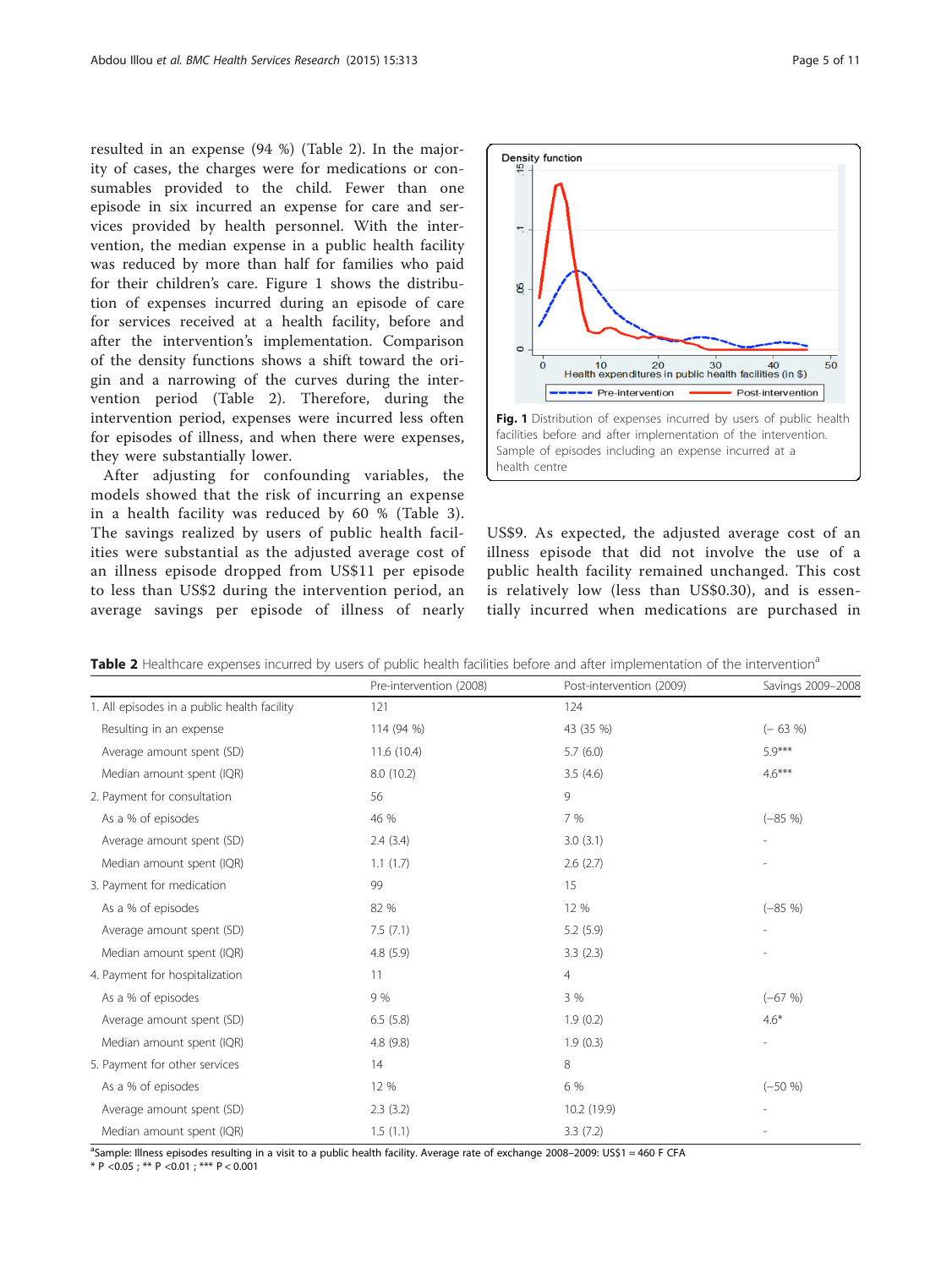<span id="page-4-0"></span>resulted in an expense (94 %) (Table 2). In the majority of cases, the charges were for medications or consumables provided to the child. Fewer than one episode in six incurred an expense for care and services provided by health personnel. With the intervention, the median expense in a public health facility was reduced by more than half for families who paid for their children's care. Figure 1 shows the distribution of expenses incurred during an episode of care for services received at a health facility, before and after the intervention's implementation. Comparison of the density functions shows a shift toward the origin and a narrowing of the curves during the intervention period (Table 2). Therefore, during the intervention period, expenses were incurred less often for episodes of illness, and when there were expenses, they were substantially lower.

After adjusting for confounding variables, the models showed that the risk of incurring an expense in a health facility was reduced by 60 % (Table [3](#page-5-0)). The savings realized by users of public health facilities were substantial as the adjusted average cost of an illness episode dropped from US\$11 per episode to less than US\$2 during the intervention period, an average savings per episode of illness of nearly



US\$9. As expected, the adjusted average cost of an illness episode that did not involve the use of a public health facility remained unchanged. This cost is relatively low (less than US\$0.30), and is essentially incurred when medications are purchased in

|                                             | Pre-intervention (2008) | Post-intervention (2009) | Savings 2009-2008 |
|---------------------------------------------|-------------------------|--------------------------|-------------------|
| 1. All episodes in a public health facility | 121                     | 124                      |                   |
| Resulting in an expense                     | 114 (94 %)              | 43 (35 %)                | $(-63%)$          |
| Average amount spent (SD)                   | 11.6(10.4)              | 5.7(6.0)                 | 5.9***            |
| Median amount spent (IQR)                   | 8.0 (10.2)              | 3.5(4.6)                 | $4.6***$          |
| 2. Payment for consultation                 | 56                      | 9                        |                   |
| As a % of episodes                          | 46 %                    | 7 %                      | $(-85%)$          |
| Average amount spent (SD)                   | 2.4(3.4)                | 3.0(3.1)                 |                   |
| Median amount spent (IQR)                   | 1.1(1.7)                | 2.6(2.7)                 |                   |
| 3. Payment for medication                   | 99                      | 15                       |                   |
| As a % of episodes                          | 82 %                    | 12 %                     | $(-85%)$          |
| Average amount spent (SD)                   | 7.5(7.1)                | 5.2(5.9)                 |                   |
| Median amount spent (IQR)                   | 4.8(5.9)                | 3.3(2.3)                 |                   |
| 4. Payment for hospitalization              | 11                      | $\overline{4}$           |                   |
| As a % of episodes                          | 9 %                     | 3 %                      | $(-67%)$          |
| Average amount spent (SD)                   | 6.5(5.8)                | 1.9(0.2)                 | $4.6*$            |
| Median amount spent (IQR)                   | 4.8(9.8)                | 1.9(0.3)                 |                   |
| 5. Payment for other services               | 14                      | 8                        |                   |
| As a % of episodes                          | 12 %                    | 6 %                      | $(-50%$           |
| Average amount spent (SD)                   | 2.3(3.2)                | 10.2 (19.9)              |                   |
| Median amount spent (IQR)                   | 1.5(1.1)                | 3.3(7.2)                 |                   |

Table 2 Healthcare expenses incurred by users of public health facilities before and after implementation of the intervention<sup>a</sup>

a<br>Sample: Illness episodes resulting in a visit to a public health facility. Average rate of exchange 2008–2009: US\$1 = 460 F CFA

\* P <0.05 ; \*\* P <0.01 ; \*\*\* P < 0.001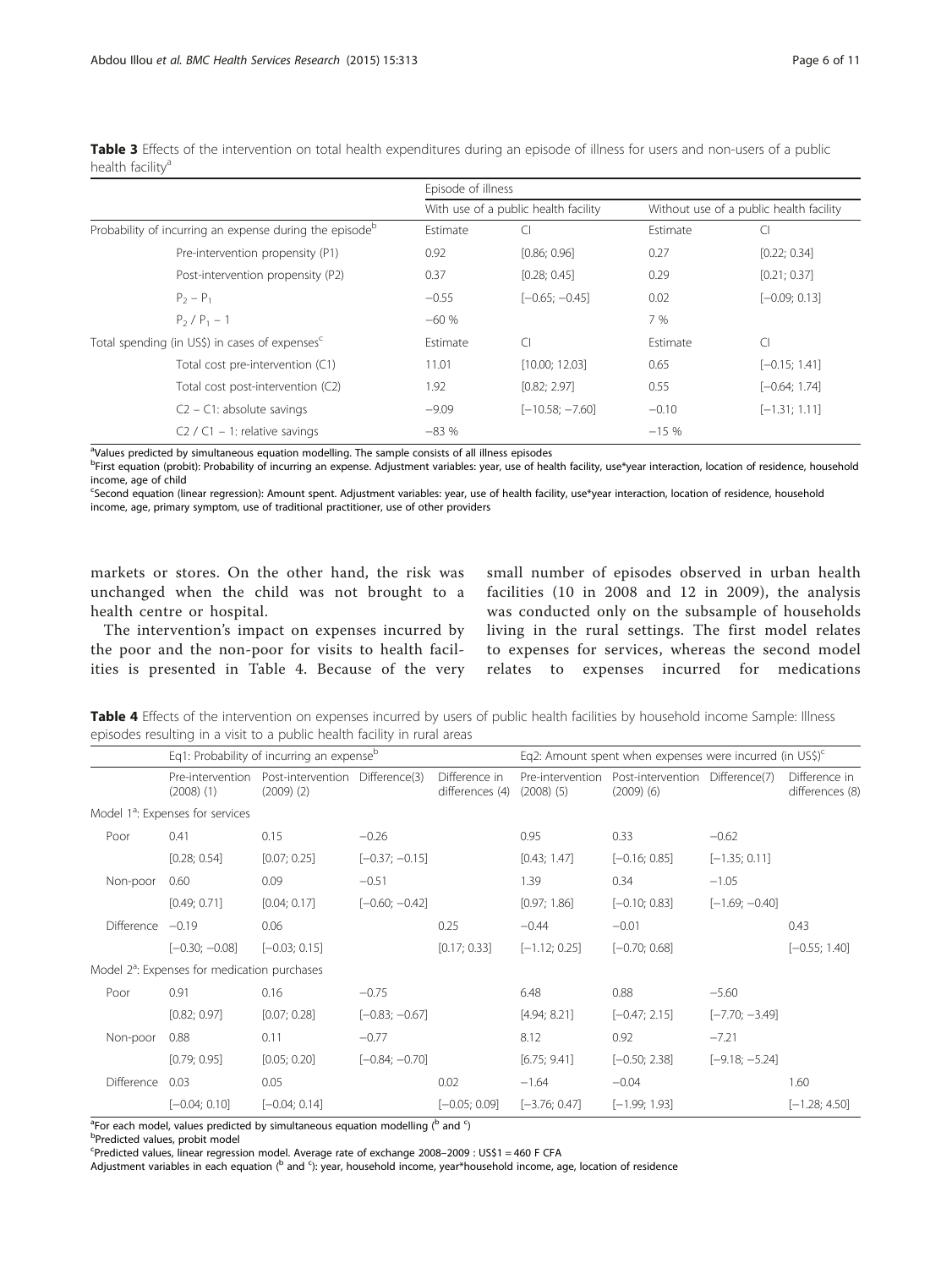<span id="page-5-0"></span>Table 3 Effects of the intervention on total health expenditures during an episode of illness for users and non-users of a public health facility®

|                                                                       |                                  | Episode of illness                   |                   |                                         |                 |
|-----------------------------------------------------------------------|----------------------------------|--------------------------------------|-------------------|-----------------------------------------|-----------------|
|                                                                       |                                  | With use of a public health facility |                   | Without use of a public health facility |                 |
| Probability of incurring an expense during the episode <sup>p</sup>   |                                  | Estimate                             | CI                | Estimate                                | C               |
|                                                                       | Pre-intervention propensity (P1) | 0.92                                 | [0.86; 0.96]      | 0.27                                    | [0.22; 0.34]    |
| Post-intervention propensity (P2)                                     |                                  | 0.37                                 | [0.28; 0.45]      | 0.29                                    | [0.21; 0.37]    |
| $P_2 - P_1$<br>$P_2/P_1-1$                                            |                                  | $-0.55$                              | $[-0.65; -0.45]$  | 0.02                                    | $[-0.09; 0.13]$ |
|                                                                       |                                  | $-60%$                               |                   | 7 %                                     |                 |
| Total spending (in US\$) in cases of expenses <sup>c</sup>            |                                  | Estimate                             | CI.               | Estimate                                | C               |
| Total cost pre-intervention (C1)<br>Total cost post-intervention (C2) |                                  | 11.01                                | [10.00; 12.03]    | 0.65                                    | $[-0.15; 1.41]$ |
|                                                                       |                                  | 1.92                                 | [0.82; 2.97]      | 0.55                                    | $[-0.64; 1.74]$ |
|                                                                       | $C2 - C1$ : absolute savings     | $-9.09$                              | $[-10.58; -7.60]$ | $-0.10$                                 | $[-1.31; 1.11]$ |
| $C2 / C1 - 1$ : relative savings                                      |                                  | $-83%$                               |                   | $-15%$                                  |                 |

<sup>a</sup>Values predicted by simultaneous equation modelling. The sample consists of all illness episodes

bFirst equation (probit): Probability of incurring an expense. Adjustment variables: year, use of health facility, use\*year interaction, location of residence, household income, age of child

c Second equation (linear regression): Amount spent. Adjustment variables: year, use of health facility, use\*year interaction, location of residence, household income, age, primary symptom, use of traditional practitioner, use of other providers

markets or stores. On the other hand, the risk was unchanged when the child was not brought to a health centre or hospital.

The intervention's impact on expenses incurred by the poor and the non-poor for visits to health facilities is presented in Table 4. Because of the very

small number of episodes observed in urban health facilities (10 in 2008 and 12 in 2009), the analysis was conducted only on the subsample of households living in the rural settings. The first model relates to expenses for services, whereas the second model relates to expenses incurred for medications

Table 4 Effects of the intervention on expenses incurred by users of public health facilities by household income Sample: Illness episodes resulting in a visit to a public health facility in rural areas

|                   | Eq1: Probability of incurring an expenseb                |                                                   |                  | Eq2: Amount spent when expenses were incurred (in US\$) $c$ |                                    |                                     |                  |                                  |
|-------------------|----------------------------------------------------------|---------------------------------------------------|------------------|-------------------------------------------------------------|------------------------------------|-------------------------------------|------------------|----------------------------------|
|                   | Pre-intervention<br>$(2008)$ $(1)$                       | Post-intervention Difference(3)<br>$(2009)$ $(2)$ |                  | Difference in<br>differences (4)                            | Pre-intervention<br>$(2008)$ $(5)$ | Post-intervention<br>$(2009)$ $(6)$ | Difference(7)    | Difference in<br>differences (8) |
|                   | Model 1 <sup>a</sup> : Expenses for services             |                                                   |                  |                                                             |                                    |                                     |                  |                                  |
| Poor              | 0.41                                                     | 0.15                                              | $-0.26$          |                                                             | 0.95                               | 0.33                                | $-0.62$          |                                  |
|                   | [0.28; 0.54]                                             | [0.07; 0.25]                                      | $[-0.37; -0.15]$ |                                                             | [0.43; 1.47]                       | $[-0.16; 0.85]$                     | $[-1.35; 0.11]$  |                                  |
| Non-poor          | 0.60                                                     | 0.09                                              | $-0.51$          |                                                             | 1.39                               | 0.34                                | $-1.05$          |                                  |
|                   | [0.49; 0.71]                                             | [0.04; 0.17]                                      | $[-0.60; -0.42]$ |                                                             | [0.97; 1.86]                       | $[-0.10; 0.83]$                     | $[-1.69; -0.40]$ |                                  |
| <b>Difference</b> | $-0.19$                                                  | 0.06                                              |                  | 0.25                                                        | $-0.44$                            | $-0.01$                             |                  | 0.43                             |
|                   | $[-0.30; -0.08]$                                         | $[-0.03; 0.15]$                                   |                  | [0.17; 0.33]                                                | $[-1.12; 0.25]$                    | $[-0.70; 0.68]$                     |                  | $[-0.55; 1.40]$                  |
|                   | Model 2 <sup>a</sup> : Expenses for medication purchases |                                                   |                  |                                                             |                                    |                                     |                  |                                  |
| Poor              | 0.91                                                     | 0.16                                              | $-0.75$          |                                                             | 6.48                               | 0.88                                | $-5.60$          |                                  |
|                   | [0.82; 0.97]                                             | [0.07; 0.28]                                      | $[-0.83; -0.67]$ |                                                             | [4.94; 8.21]                       | $[-0.47; 2.15]$                     | $[-7.70; -3.49]$ |                                  |
| Non-poor          | 0.88                                                     | 0.11                                              | $-0.77$          |                                                             | 8.12                               | 0.92                                | $-7.21$          |                                  |
|                   | [0.79; 0.95]                                             | [0.05; 0.20]                                      | $[-0.84; -0.70]$ |                                                             | [6.75; 9.41]                       | $[-0.50; 2.38]$                     | $[-9.18; -5.24]$ |                                  |
| Difference        | 0.03                                                     | 0.05                                              |                  | 0.02                                                        | $-1.64$                            | $-0.04$                             |                  | 1.60                             |
|                   | $[-0.04; 0.10]$                                          | $[-0.04; 0.14]$                                   |                  | $[-0.05; 0.09]$                                             | $[-3.76; 0.47]$                    | $[-1.99; 1.93]$                     |                  | $[-1.28; 4.50]$                  |

<sup>a</sup>For each model, values predicted by simultaneous equation modelling (<sup>b</sup> and <sup>c</sup>)<br><sup>b</sup>Predicted values, probit model

Predicted values, probit model

<sup>c</sup>Predicted values, linear regression model. Average rate of exchange 2008–2009 : US\$1 = 460 F CFA

Adjustment variables in each equation (<sup>b</sup> and <sup>c</sup>): year, household income, year\*household income, age, location of residence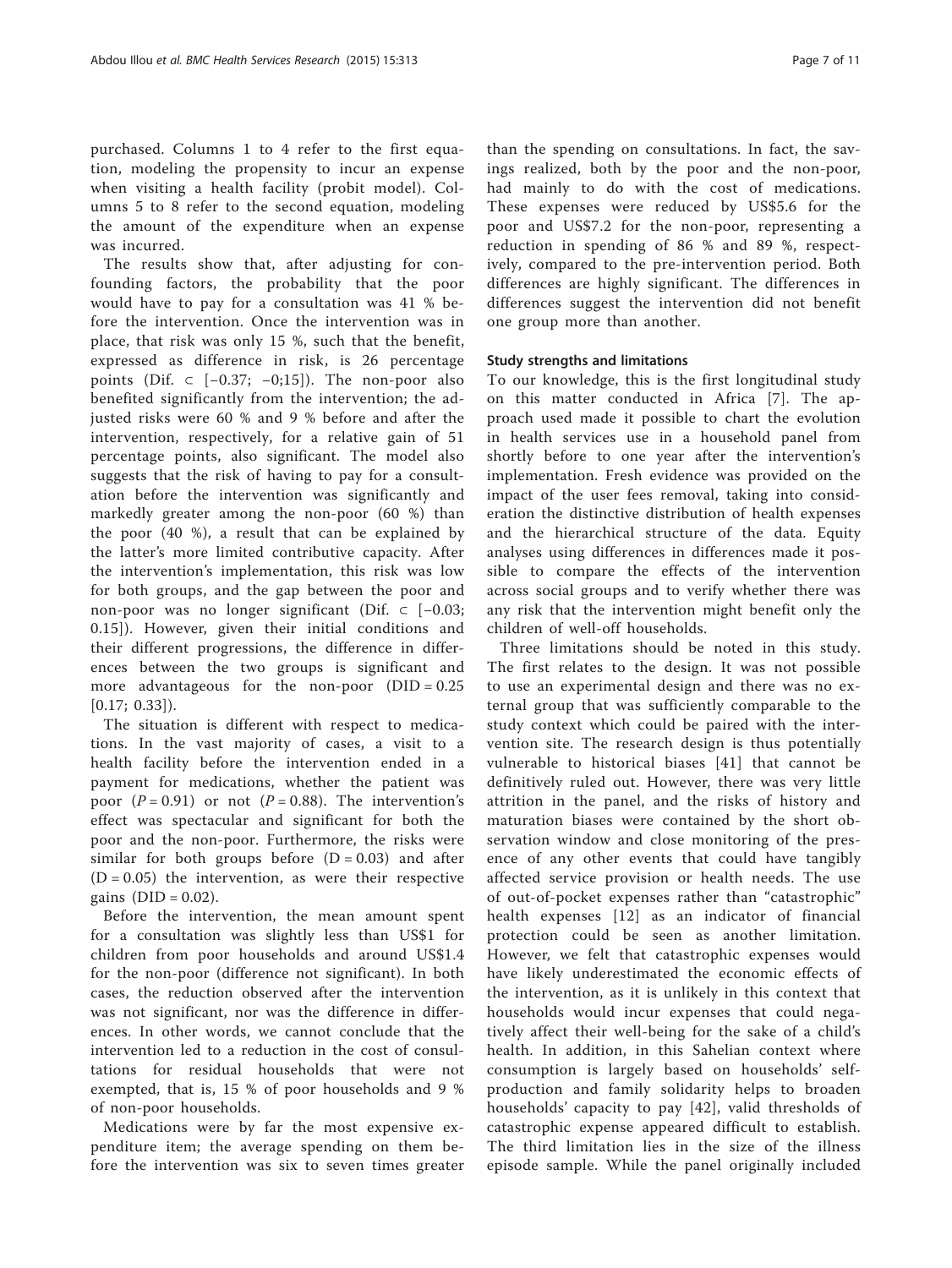purchased. Columns 1 to 4 refer to the first equation, modeling the propensity to incur an expense when visiting a health facility (probit model). Columns 5 to 8 refer to the second equation, modeling the amount of the expenditure when an expense was incurred.

The results show that, after adjusting for confounding factors, the probability that the poor would have to pay for a consultation was 41 % before the intervention. Once the intervention was in place, that risk was only 15 %, such that the benefit, expressed as difference in risk, is 26 percentage points (Dif.  $\subset$  [-0.37; -0;15]). The non-poor also benefited significantly from the intervention; the adjusted risks were 60 % and 9 % before and after the intervention, respectively, for a relative gain of 51 percentage points, also significant. The model also suggests that the risk of having to pay for a consultation before the intervention was significantly and markedly greater among the non-poor (60 %) than the poor (40 %), a result that can be explained by the latter's more limited contributive capacity. After the intervention's implementation, this risk was low for both groups, and the gap between the poor and non-poor was no longer significant (Dif. ⊂ [−0.03; 0.15]). However, given their initial conditions and their different progressions, the difference in differences between the two groups is significant and more advantageous for the non-poor (DID = 0.25) [0.17; 0.33]).

The situation is different with respect to medications. In the vast majority of cases, a visit to a health facility before the intervention ended in a payment for medications, whether the patient was poor  $(P = 0.91)$  or not  $(P = 0.88)$ . The intervention's effect was spectacular and significant for both the poor and the non-poor. Furthermore, the risks were similar for both groups before  $(D = 0.03)$  and after  $(D = 0.05)$  the intervention, as were their respective gains  $(DID = 0.02)$ .

Before the intervention, the mean amount spent for a consultation was slightly less than US\$1 for children from poor households and around US\$1.4 for the non-poor (difference not significant). In both cases, the reduction observed after the intervention was not significant, nor was the difference in differences. In other words, we cannot conclude that the intervention led to a reduction in the cost of consultations for residual households that were not exempted, that is, 15 % of poor households and 9 % of non-poor households.

Medications were by far the most expensive expenditure item; the average spending on them before the intervention was six to seven times greater

than the spending on consultations. In fact, the savings realized, both by the poor and the non-poor, had mainly to do with the cost of medications. These expenses were reduced by US\$5.6 for the poor and US\$7.2 for the non-poor, representing a reduction in spending of 86 % and 89 %, respectively, compared to the pre-intervention period. Both differences are highly significant. The differences in differences suggest the intervention did not benefit one group more than another.

## Study strengths and limitations

To our knowledge, this is the first longitudinal study on this matter conducted in Africa [\[7\]](#page-9-0). The approach used made it possible to chart the evolution in health services use in a household panel from shortly before to one year after the intervention's implementation. Fresh evidence was provided on the impact of the user fees removal, taking into consideration the distinctive distribution of health expenses and the hierarchical structure of the data. Equity analyses using differences in differences made it possible to compare the effects of the intervention across social groups and to verify whether there was any risk that the intervention might benefit only the children of well-off households.

Three limitations should be noted in this study. The first relates to the design. It was not possible to use an experimental design and there was no external group that was sufficiently comparable to the study context which could be paired with the intervention site. The research design is thus potentially vulnerable to historical biases [[41](#page-10-0)] that cannot be definitively ruled out. However, there was very little attrition in the panel, and the risks of history and maturation biases were contained by the short observation window and close monitoring of the presence of any other events that could have tangibly affected service provision or health needs. The use of out-of-pocket expenses rather than "catastrophic" health expenses [[12](#page-9-0)] as an indicator of financial protection could be seen as another limitation. However, we felt that catastrophic expenses would have likely underestimated the economic effects of the intervention, as it is unlikely in this context that households would incur expenses that could negatively affect their well-being for the sake of a child's health. In addition, in this Sahelian context where consumption is largely based on households' selfproduction and family solidarity helps to broaden households' capacity to pay [[42](#page-10-0)], valid thresholds of catastrophic expense appeared difficult to establish. The third limitation lies in the size of the illness episode sample. While the panel originally included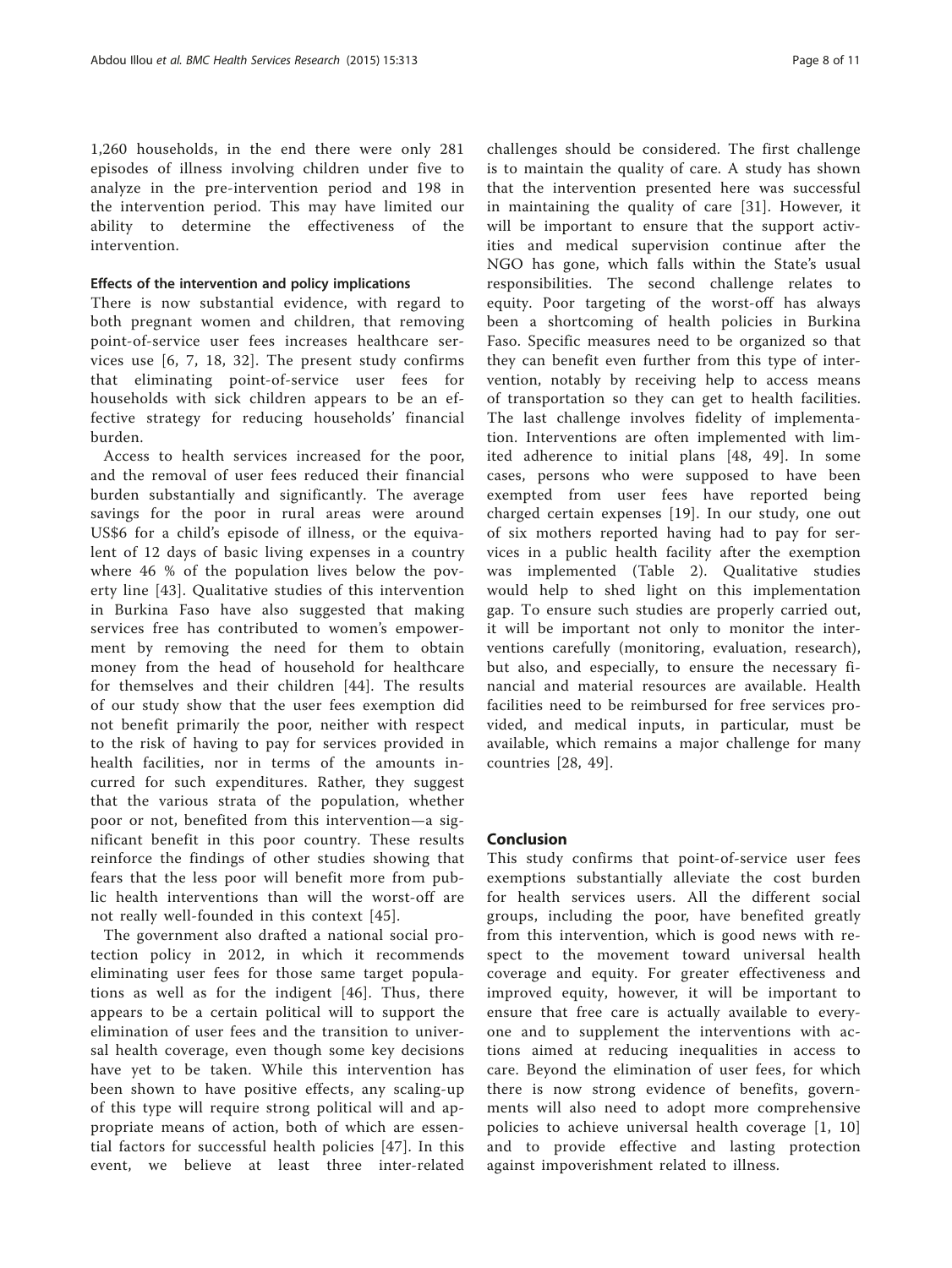1,260 households, in the end there were only 281 episodes of illness involving children under five to analyze in the pre-intervention period and 198 in the intervention period. This may have limited our ability to determine the effectiveness of the intervention.

## Effects of the intervention and policy implications

There is now substantial evidence, with regard to both pregnant women and children, that removing point-of-service user fees increases healthcare services use [\[6, 7, 18](#page-9-0), [32](#page-9-0)]. The present study confirms that eliminating point-of-service user fees for households with sick children appears to be an effective strategy for reducing households' financial burden.

Access to health services increased for the poor, and the removal of user fees reduced their financial burden substantially and significantly. The average savings for the poor in rural areas were around US\$6 for a child's episode of illness, or the equivalent of 12 days of basic living expenses in a country where 46 % of the population lives below the poverty line [\[43\]](#page-10-0). Qualitative studies of this intervention in Burkina Faso have also suggested that making services free has contributed to women's empowerment by removing the need for them to obtain money from the head of household for healthcare for themselves and their children [\[44\]](#page-10-0). The results of our study show that the user fees exemption did not benefit primarily the poor, neither with respect to the risk of having to pay for services provided in health facilities, nor in terms of the amounts incurred for such expenditures. Rather, they suggest that the various strata of the population, whether poor or not, benefited from this intervention—a significant benefit in this poor country. These results reinforce the findings of other studies showing that fears that the less poor will benefit more from public health interventions than will the worst-off are not really well-founded in this context [[45\]](#page-10-0).

The government also drafted a national social protection policy in 2012, in which it recommends eliminating user fees for those same target populations as well as for the indigent [[46](#page-10-0)]. Thus, there appears to be a certain political will to support the elimination of user fees and the transition to universal health coverage, even though some key decisions have yet to be taken. While this intervention has been shown to have positive effects, any scaling-up of this type will require strong political will and appropriate means of action, both of which are essential factors for successful health policies [[47](#page-10-0)]. In this event, we believe at least three inter-related

challenges should be considered. The first challenge is to maintain the quality of care. A study has shown that the intervention presented here was successful in maintaining the quality of care [[31\]](#page-9-0). However, it will be important to ensure that the support activities and medical supervision continue after the NGO has gone, which falls within the State's usual responsibilities. The second challenge relates to equity. Poor targeting of the worst-off has always been a shortcoming of health policies in Burkina Faso. Specific measures need to be organized so that they can benefit even further from this type of intervention, notably by receiving help to access means of transportation so they can get to health facilities. The last challenge involves fidelity of implementation. Interventions are often implemented with limited adherence to initial plans [[48](#page-10-0), [49\]](#page-10-0). In some cases, persons who were supposed to have been exempted from user fees have reported being charged certain expenses [[19](#page-9-0)]. In our study, one out of six mothers reported having had to pay for services in a public health facility after the exemption was implemented (Table [2](#page-4-0)). Qualitative studies would help to shed light on this implementation gap. To ensure such studies are properly carried out, it will be important not only to monitor the interventions carefully (monitoring, evaluation, research), but also, and especially, to ensure the necessary financial and material resources are available. Health facilities need to be reimbursed for free services provided, and medical inputs, in particular, must be available, which remains a major challenge for many countries [[28,](#page-9-0) [49](#page-10-0)].

## Conclusion

This study confirms that point-of-service user fees exemptions substantially alleviate the cost burden for health services users. All the different social groups, including the poor, have benefited greatly from this intervention, which is good news with respect to the movement toward universal health coverage and equity. For greater effectiveness and improved equity, however, it will be important to ensure that free care is actually available to everyone and to supplement the interventions with actions aimed at reducing inequalities in access to care. Beyond the elimination of user fees, for which there is now strong evidence of benefits, governments will also need to adopt more comprehensive policies to achieve universal health coverage [[1, 10](#page-9-0)] and to provide effective and lasting protection against impoverishment related to illness.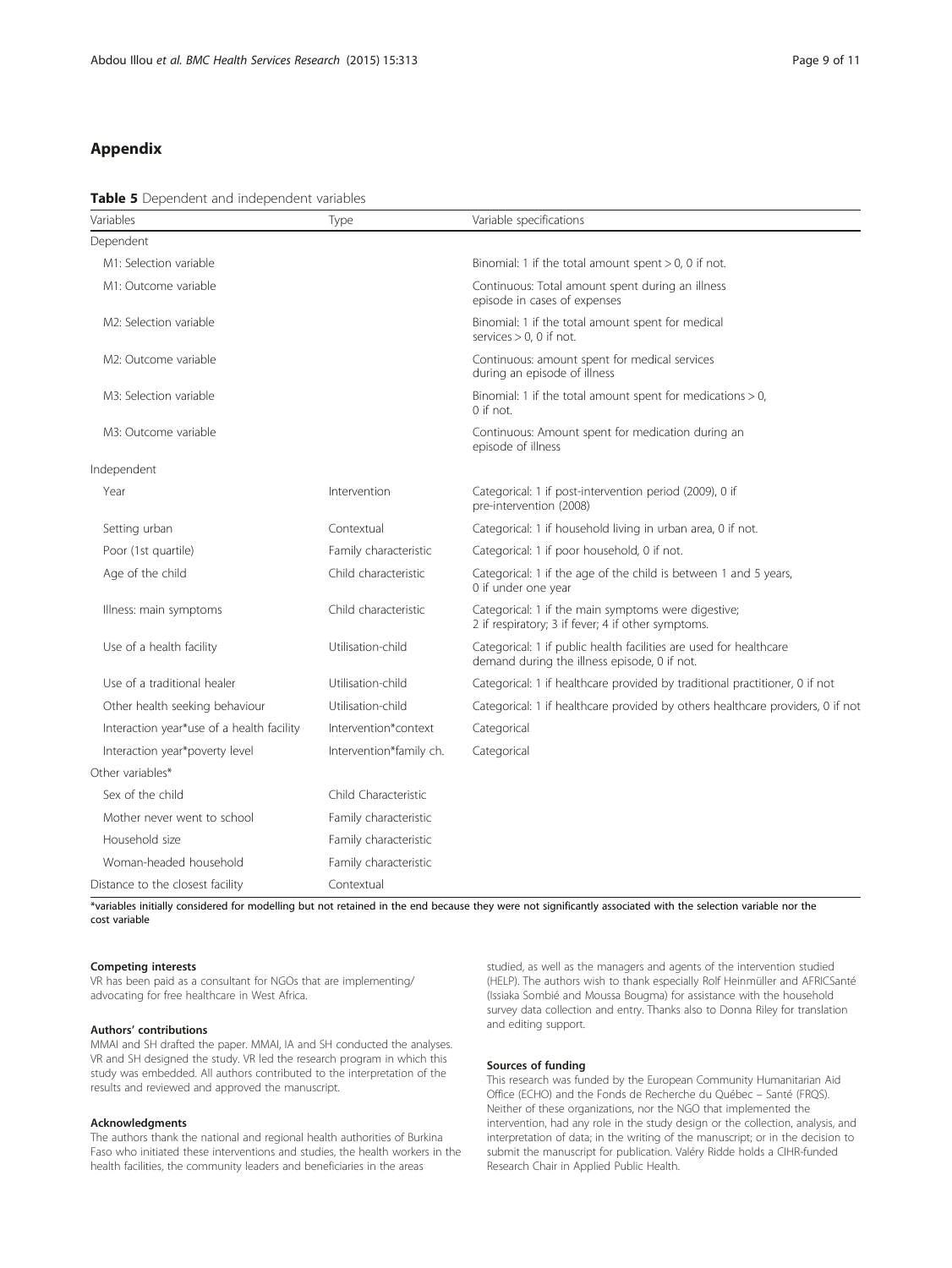## <span id="page-8-0"></span>Appendix

|  |  | <b>Table 5</b> Dependent and independent variables |  |  |  |  |  |
|--|--|----------------------------------------------------|--|--|--|--|--|
|--|--|----------------------------------------------------|--|--|--|--|--|

| Variables                                 | Type                    | Variable specifications                                                                                            |
|-------------------------------------------|-------------------------|--------------------------------------------------------------------------------------------------------------------|
| Dependent                                 |                         |                                                                                                                    |
| M1: Selection variable                    |                         | Binomial: 1 if the total amount spent $> 0$ , 0 if not.                                                            |
| M1: Outcome variable                      |                         | Continuous: Total amount spent during an illness<br>episode in cases of expenses                                   |
| M2: Selection variable                    |                         | Binomial: 1 if the total amount spent for medical<br>services $> 0$ , 0 if not.                                    |
| M2: Outcome variable                      |                         | Continuous: amount spent for medical services<br>during an episode of illness                                      |
| M3: Selection variable                    |                         | Binomial: 1 if the total amount spent for medications $> 0$ ,<br>$0$ if not.                                       |
| M3: Outcome variable                      |                         | Continuous: Amount spent for medication during an<br>episode of illness                                            |
| Independent                               |                         |                                                                                                                    |
| Year                                      | Intervention            | Categorical: 1 if post-intervention period (2009), 0 if<br>pre-intervention (2008)                                 |
| Setting urban                             | Contextual              | Categorical: 1 if household living in urban area, 0 if not.                                                        |
| Poor (1st quartile)                       | Family characteristic   | Categorical: 1 if poor household, 0 if not.                                                                        |
| Age of the child                          | Child characteristic    | Categorical: 1 if the age of the child is between 1 and 5 years,<br>0 if under one year                            |
| Illness: main symptoms                    | Child characteristic    | Categorical: 1 if the main symptoms were digestive;<br>2 if respiratory; 3 if fever; 4 if other symptoms.          |
| Use of a health facility                  | Utilisation-child       | Categorical: 1 if public health facilities are used for healthcare<br>demand during the illness episode, 0 if not. |
| Use of a traditional healer               | Utilisation-child       | Categorical: 1 if healthcare provided by traditional practitioner, 0 if not                                        |
| Other health seeking behaviour            | Utilisation-child       | Categorical: 1 if healthcare provided by others healthcare providers, 0 if not                                     |
| Interaction year*use of a health facility | Intervention*context    | Categorical                                                                                                        |
| Interaction year*poverty level            | Intervention*family ch. | Categorical                                                                                                        |
| Other variables*                          |                         |                                                                                                                    |
| Sex of the child                          | Child Characteristic    |                                                                                                                    |
| Mother never went to school               | Family characteristic   |                                                                                                                    |
| Household size                            | Family characteristic   |                                                                                                                    |
| Woman-headed household                    | Family characteristic   |                                                                                                                    |
| Distance to the closest facility          | Contextual              |                                                                                                                    |

\*variables initially considered for modelling but not retained in the end because they were not significantly associated with the selection variable nor the cost variable

### Competing interests

VR has been paid as a consultant for NGOs that are implementing/ advocating for free healthcare in West Africa.

## Authors' contributions

MMAI and SH drafted the paper. MMAI, IA and SH conducted the analyses. VR and SH designed the study. VR led the research program in which this study was embedded. All authors contributed to the interpretation of the results and reviewed and approved the manuscript.

## Acknowledgments

The authors thank the national and regional health authorities of Burkina Faso who initiated these interventions and studies, the health workers in the health facilities, the community leaders and beneficiaries in the areas

studied, as well as the managers and agents of the intervention studied (HELP). The authors wish to thank especially Rolf Heinmüller and AFRICSanté (Issiaka Sombié and Moussa Bougma) for assistance with the household survey data collection and entry. Thanks also to Donna Riley for translation and editing support.

#### Sources of funding

This research was funded by the European Community Humanitarian Aid Office (ECHO) and the Fonds de Recherche du Québec – Santé (FRQS). Neither of these organizations, nor the NGO that implemented the intervention, had any role in the study design or the collection, analysis, and interpretation of data; in the writing of the manuscript; or in the decision to submit the manuscript for publication. Valéry Ridde holds a CIHR-funded Research Chair in Applied Public Health.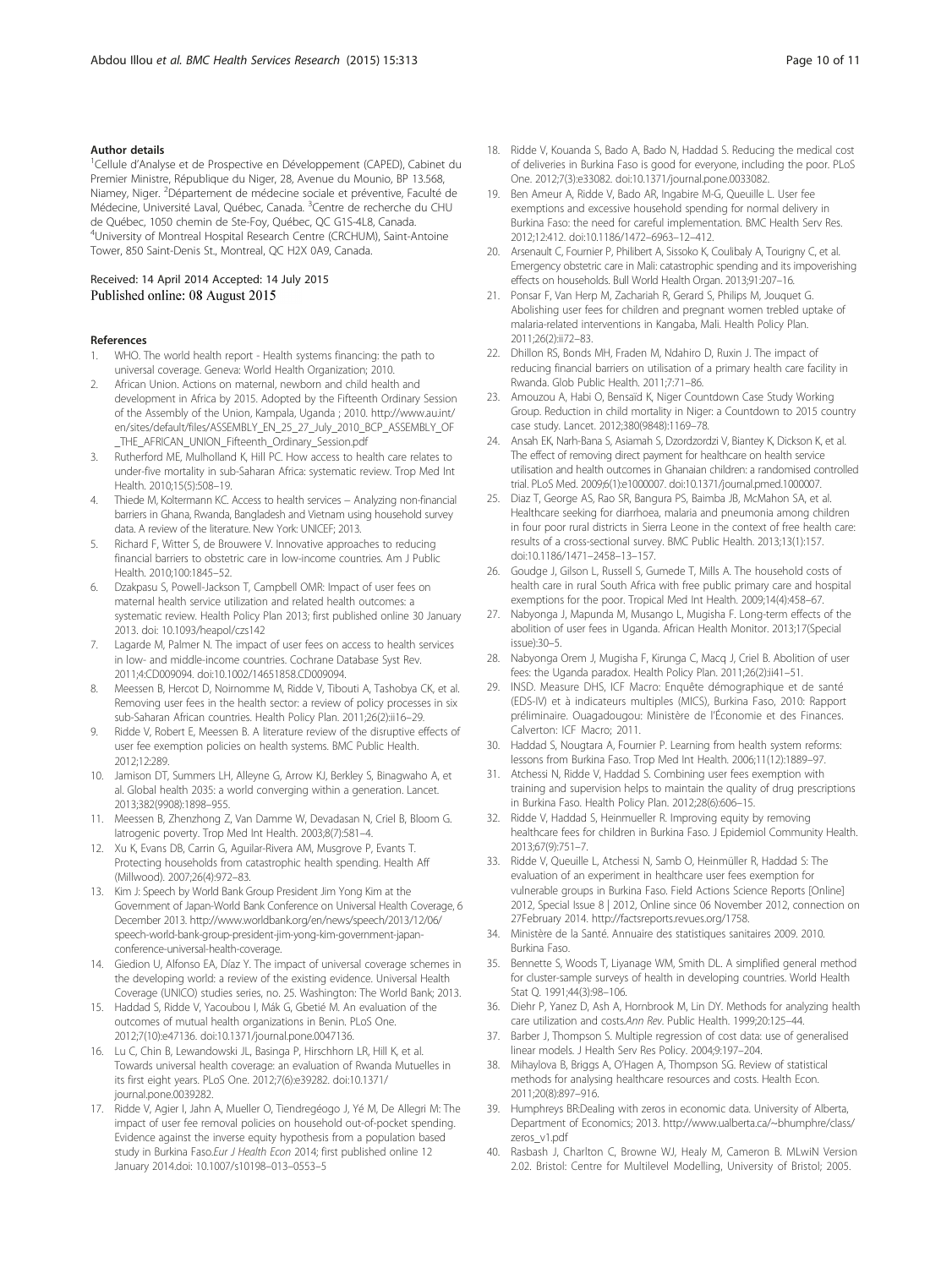#### <span id="page-9-0"></span>Author details

<sup>1</sup>Cellule d'Analyse et de Prospective en Développement (CAPED), Cabinet du Premier Ministre, République du Niger, 28, Avenue du Mounio, BP 13.568, Niamey, Niger. <sup>2</sup>Département de médecine sociale et préventive, Faculté de Médecine, Université Laval, Québec, Canada. <sup>3</sup>Centre de recherche du CHU de Québec, 1050 chemin de Ste-Foy, Québec, QC G1S-4L8, Canada. 4 University of Montreal Hospital Research Centre (CRCHUM), Saint-Antoine Tower, 850 Saint-Denis St., Montreal, QC H2X 0A9, Canada.

## Received: 14 April 2014 Accepted: 14 July 2015 Published online: 08 August 2015

#### References

- 1. WHO. The world health report Health systems financing: the path to universal coverage. Geneva: World Health Organization; 2010.
- African Union. Actions on maternal, newborn and child health and development in Africa by 2015. Adopted by the Fifteenth Ordinary Session of the Assembly of the Union, Kampala, Uganda ; 2010. [http://www.au.int/](http://www.au.int/en/sites/default/files/ASSEMBLY_EN_25_27_July_2010_BCP_ASSEMBLY_OF_THE_AFRICAN_UNION_Fifteenth_Ordinary_Session.pdf) [en/sites/default/files/ASSEMBLY\\_EN\\_25\\_27\\_July\\_2010\\_BCP\\_ASSEMBLY\\_OF](http://www.au.int/en/sites/default/files/ASSEMBLY_EN_25_27_July_2010_BCP_ASSEMBLY_OF_THE_AFRICAN_UNION_Fifteenth_Ordinary_Session.pdf) [\\_THE\\_AFRICAN\\_UNION\\_Fifteenth\\_Ordinary\\_Session.pdf](http://www.au.int/en/sites/default/files/ASSEMBLY_EN_25_27_July_2010_BCP_ASSEMBLY_OF_THE_AFRICAN_UNION_Fifteenth_Ordinary_Session.pdf)
- 3. Rutherford ME, Mulholland K, Hill PC. How access to health care relates to under-five mortality in sub-Saharan Africa: systematic review. Trop Med Int Health. 2010;15(5):508–19.
- 4. Thiede M, Koltermann KC. Access to health services − Analyzing non-financial barriers in Ghana, Rwanda, Bangladesh and Vietnam using household survey data. A review of the literature. New York: UNICEF; 2013.
- 5. Richard F, Witter S, de Brouwere V. Innovative approaches to reducing financial barriers to obstetric care in low-income countries. Am J Public Health. 2010;100:1845–52.
- 6. Dzakpasu S, Powell-Jackson T, Campbell OMR: Impact of user fees on maternal health service utilization and related health outcomes: a systematic review. Health Policy Plan 2013; first published online 30 January 2013. doi: [10.1093/heapol/czs142](http://dx.doi.org/10.1093/heapol/czs142)
- 7. Lagarde M, Palmer N. The impact of user fees on access to health services in low- and middle-income countries. Cochrane Database Syst Rev. 2011;4:CD009094. doi:[10.1002/14651858.CD009094.](http://dx.doi.org/10.1002/14651858.CD009094)
- Meessen B, Hercot D, Noirnomme M, Ridde V, Tibouti A, Tashobya CK, et al. Removing user fees in the health sector: a review of policy processes in six sub-Saharan African countries. Health Policy Plan. 2011;26(2):ii16–29.
- 9. Ridde V, Robert E, Meessen B. A literature review of the disruptive effects of user fee exemption policies on health systems. BMC Public Health. 2012;12:289.
- 10. Jamison DT, Summers LH, Alleyne G, Arrow KJ, Berkley S, Binagwaho A, et al. Global health 2035: a world converging within a generation. Lancet. 2013;382(9908):1898–955.
- 11. Meessen B, Zhenzhong Z, Van Damme W, Devadasan N, Criel B, Bloom G. Iatrogenic poverty. Trop Med Int Health. 2003;8(7):581–4.
- 12. Xu K, Evans DB, Carrin G, Aguilar-Rivera AM, Musgrove P, Evants T. Protecting households from catastrophic health spending. Health Aff (Millwood). 2007;26(4):972–83.
- 13. Kim J: Speech by World Bank Group President Jim Yong Kim at the Government of Japan-World Bank Conference on Universal Health Coverage, 6 December 2013. [http://www.worldbank.org/en/news/speech/2013/12/06/](http://www.worldbank.org/en/news/speech/2013/12/06/speech-world-bank-group-president-jim-yong-kim-government-japan-conference-universal-health-coverage) [speech-world-bank-group-president-jim-yong-kim-government-japan](http://www.worldbank.org/en/news/speech/2013/12/06/speech-world-bank-group-president-jim-yong-kim-government-japan-conference-universal-health-coverage)[conference-universal-health-coverage](http://www.worldbank.org/en/news/speech/2013/12/06/speech-world-bank-group-president-jim-yong-kim-government-japan-conference-universal-health-coverage).
- 14. Giedion U, Alfonso EA, Díaz Y. The impact of universal coverage schemes in the developing world: a review of the existing evidence. Universal Health Coverage (UNICO) studies series, no. 25. Washington: The World Bank; 2013.
- 15. Haddad S, Ridde V, Yacoubou I, Mák G, Gbetié M. An evaluation of the outcomes of mutual health organizations in Benin. PLoS One. 2012;7(10):e47136. doi:[10.1371/journal.pone.0047136](http://dx.doi.org/10.1371/journal.pone.0047136).
- 16. Lu C, Chin B, Lewandowski JL, Basinga P, Hirschhorn LR, Hill K, et al. Towards universal health coverage: an evaluation of Rwanda Mutuelles in its first eight years. PLoS One. 2012;7(6):e39282. doi:[10.1371/](http://dx.doi.org/10.1371/journal.pone.0039282) [journal.pone.0039282](http://dx.doi.org/10.1371/journal.pone.0039282).
- 17. Ridde V, Agier I, Jahn A, Mueller O, Tiendregéogo J, Yé M, De Allegri M: The impact of user fee removal policies on household out-of-pocket spending. Evidence against the inverse equity hypothesis from a population based study in Burkina Faso.Eur J Health Econ 2014; first published online 12 January 2014.doi: [10.1007/s10198](http://dx.doi.org/10.1007/s10198%E2%80%93013%E2%80%930553%E2%80%935)–013–0553–5
- 18. Ridde V, Kouanda S, Bado A, Bado N, Haddad S. Reducing the medical cost of deliveries in Burkina Faso is good for everyone, including the poor. PLoS One. 2012;7(3):e33082. doi:[10.1371/journal.pone.0033082](http://dx.doi.org/10.1371/journal.pone.0033082).
- 19. Ben Ameur A, Ridde V, Bado AR, Ingabire M-G, Queuille L. User fee exemptions and excessive household spending for normal delivery in Burkina Faso: the need for careful implementation. BMC Health Serv Res. 2012;12:412. doi[:10.1186/1472](http://dx.doi.org/10.1186/1472%E2%80%936963%E2%80%9312%E2%80%93412)–6963–12–412.
- 20. Arsenault C, Fournier P, Philibert A, Sissoko K, Coulibaly A, Tourigny C, et al. Emergency obstetric care in Mali: catastrophic spending and its impoverishing effects on households. Bull World Health Organ. 2013;91:207–16.
- 21. Ponsar F, Van Herp M, Zachariah R, Gerard S, Philips M, Jouquet G. Abolishing user fees for children and pregnant women trebled uptake of malaria-related interventions in Kangaba, Mali. Health Policy Plan. 2011;26(2):ii72–83.
- 22. Dhillon RS, Bonds MH, Fraden M, Ndahiro D, Ruxin J. The impact of reducing financial barriers on utilisation of a primary health care facility in Rwanda. Glob Public Health. 2011;7:71–86.
- 23. Amouzou A, Habi O, Bensaïd K, Niger Countdown Case Study Working Group. Reduction in child mortality in Niger: a Countdown to 2015 country case study. Lancet. 2012;380(9848):1169–78.
- 24. Ansah EK, Narh-Bana S, Asiamah S, Dzordzordzi V, Biantey K, Dickson K, et al. The effect of removing direct payment for healthcare on health service utilisation and health outcomes in Ghanaian children: a randomised controlled trial. PLoS Med. 2009;6(1):e1000007. doi:[10.1371/journal.pmed.1000007](http://dx.doi.org/10.1371/journal.pmed.1000007).
- 25. Diaz T, George AS, Rao SR, Bangura PS, Baimba JB, McMahon SA, et al. Healthcare seeking for diarrhoea, malaria and pneumonia among children in four poor rural districts in Sierra Leone in the context of free health care: results of a cross-sectional survey. BMC Public Health. 2013;13(1):157. doi[:10.1186/1471](http://dx.doi.org/10.1186/1471%E2%80%932458%E2%80%9313%E2%80%93157)–2458–13–157.
- 26. Goudge J, Gilson L, Russell S, Gumede T, Mills A. The household costs of health care in rural South Africa with free public primary care and hospital exemptions for the poor. Tropical Med Int Health. 2009;14(4):458–67.
- 27. Nabyonga J, Mapunda M, Musango L, Mugisha F. Long-term effects of the abolition of user fees in Uganda. African Health Monitor. 2013;17(Special issue):30–5.
- 28. Nabyonga Orem J, Mugisha F, Kirunga C, Macq J, Criel B. Abolition of user fees: the Uganda paradox. Health Policy Plan. 2011;26(2):ii41–51.
- 29. INSD. Measure DHS, ICF Macro: Enquête démographique et de santé (EDS-IV) et à indicateurs multiples (MICS), Burkina Faso, 2010: Rapport préliminaire. Ouagadougou: Ministère de l'Économie et des Finances. Calverton: ICF Macro; 2011.
- 30. Haddad S, Nougtara A, Fournier P. Learning from health system reforms: lessons from Burkina Faso. Trop Med Int Health. 2006;11(12):1889–97.
- 31. Atchessi N, Ridde V, Haddad S. Combining user fees exemption with training and supervision helps to maintain the quality of drug prescriptions in Burkina Faso. Health Policy Plan. 2012;28(6):606–15.
- 32. Ridde V, Haddad S, Heinmueller R. Improving equity by removing healthcare fees for children in Burkina Faso. J Epidemiol Community Health. 2013;67(9):751–7.
- 33. Ridde V, Queuille L, Atchessi N, Samb O, Heinmüller R, Haddad S: The evaluation of an experiment in healthcare user fees exemption for vulnerable groups in Burkina Faso. Field Actions Science Reports [Online] 2012, Special Issue 8 | 2012, Online since 06 November 2012, connection on 27February 2014. [http://factsreports.revues.org/1758.](http://factsreports.revues.org/1758)
- 34. Ministère de la Santé. Annuaire des statistiques sanitaires 2009. 2010. Burkina Faso.
- 35. Bennette S, Woods T, Liyanage WM, Smith DL. A simplified general method for cluster-sample surveys of health in developing countries. World Health Stat Q. 1991;44(3):98–106.
- 36. Diehr P, Yanez D, Ash A, Hornbrook M, Lin DY. Methods for analyzing health care utilization and costs.Ann Rev. Public Health. 1999;20:125–44.
- 37. Barber J, Thompson S. Multiple regression of cost data: use of generalised linear models. J Health Serv Res Policy. 2004;9:197–204.
- 38. Mihaylova B, Briggs A, O'Hagen A, Thompson SG. Review of statistical methods for analysing healthcare resources and costs. Health Econ. 2011;20(8):897–916.
- 39. Humphreys BR:Dealing with zeros in economic data. University of Alberta, Department of Economics; 2013. [http://www.ualberta.ca/~bhumphre/class/](http://www.ualberta.ca/~bhumphre/class/zeros_v1.pdf) [zeros\\_v1.pdf](http://www.ualberta.ca/~bhumphre/class/zeros_v1.pdf)
- 40. Rasbash J, Charlton C, Browne WJ, Healy M, Cameron B. MLwiN Version 2.02. Bristol: Centre for Multilevel Modelling, University of Bristol; 2005.